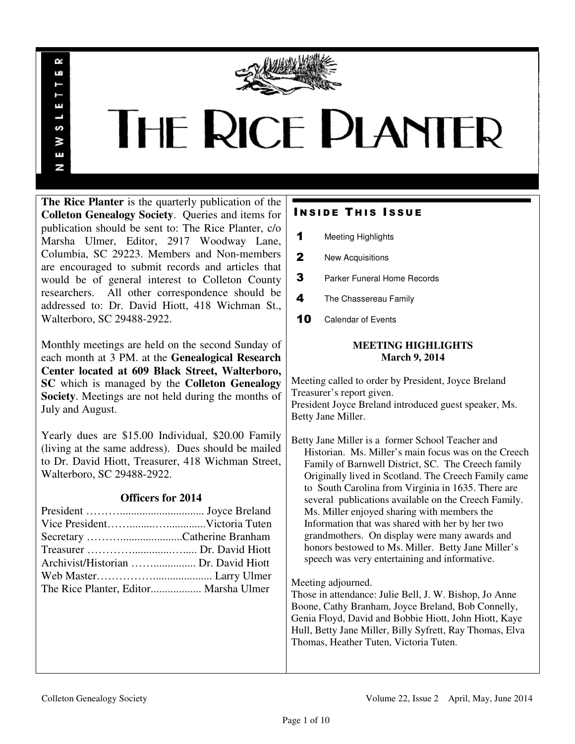

# **THE RICE PLANTER**

**The Rice Planter** is the quarterly publication of the **Colleton Genealogy Society**. Queries and items for publication should be sent to: The Rice Planter, c/o Marsha Ulmer, Editor, 2917 Woodway Lane, Columbia, SC 29223. Members and Non-members are encouraged to submit records and articles that would be of general interest to Colleton County researchers. All other correspondence should be addressed to: Dr. David Hiott, 418 Wichman St., Walterboro, SC 29488-2922.

R uń

ш

S 3 Ŧ N

Monthly meetings are held on the second Sunday of each month at 3 PM. at the **Genealogical Research Center located at 609 Black Street, Walterboro, SC** which is managed by the **Colleton Genealogy Society**. Meetings are not held during the months of July and August.

Yearly dues are \$15.00 Individual, \$20.00 Family (living at the same address). Dues should be mailed to Dr. David Hiott, Treasurer, 418 Wichman Street, Walterboro, SC 29488-2922.

## **Officers for 2014**

| The Rice Planter, Editor Marsha Ulmer |  |
|---------------------------------------|--|

# **INSIDE THIS ISSUE**

- 1 Meeting Highlights
- 2 New Acquisitions
- **3** Parker Funeral Home Records
- 4 The Chassereau Family
- 10 Calendar of Events

## **MEETING HIGHLIGHTS March 9, 2014**

Meeting called to order by President, Joyce Breland Treasurer's report given. President Joyce Breland introduced guest speaker, Ms. Betty Jane Miller.

Betty Jane Miller is a former School Teacher and Historian. Ms. Miller's main focus was on the Creech Family of Barnwell District, SC. The Creech family Originally lived in Scotland. The Creech Family came to South Carolina from Virginia in 1635. There are several publications available on the Creech Family. Ms. Miller enjoyed sharing with members the Information that was shared with her by her two grandmothers. On display were many awards and honors bestowed to Ms. Miller. Betty Jane Miller's speech was very entertaining and informative.

Meeting adjourned.

Those in attendance: Julie Bell, J. W. Bishop, Jo Anne Boone, Cathy Branham, Joyce Breland, Bob Connelly, Genia Floyd, David and Bobbie Hiott, John Hiott, Kaye Hull, Betty Jane Miller, Billy Syfrett, Ray Thomas, Elva Thomas, Heather Tuten, Victoria Tuten.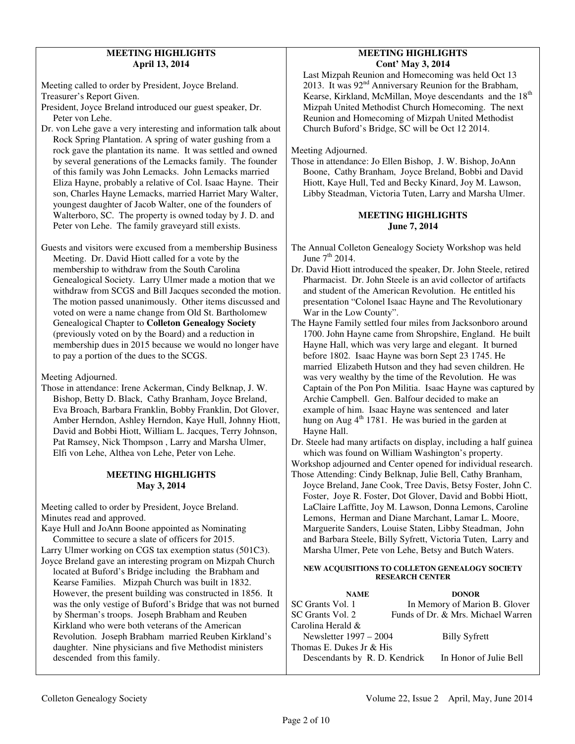## **MEETING HIGHLIGHTS April 13, 2014**

Meeting called to order by President, Joyce Breland. Treasurer's Report Given.

President, Joyce Breland introduced our guest speaker, Dr. Peter von Lehe.

Dr. von Lehe gave a very interesting and information talk about Rock Spring Plantation. A spring of water gushing from a rock gave the plantation its name. It was settled and owned by several generations of the Lemacks family. The founder of this family was John Lemacks. John Lemacks married Eliza Hayne, probably a relative of Col. Isaac Hayne. Their son, Charles Hayne Lemacks, married Harriet Mary Walter, youngest daughter of Jacob Walter, one of the founders of Walterboro, SC. The property is owned today by J. D. and Peter von Lehe. The family graveyard still exists.

Guests and visitors were excused from a membership Business Meeting. Dr. David Hiott called for a vote by the membership to withdraw from the South Carolina Genealogical Society. Larry Ulmer made a motion that we withdraw from SCGS and Bill Jacques seconded the motion. The motion passed unanimously. Other items discussed and voted on were a name change from Old St. Bartholomew Genealogical Chapter to **Colleton Genealogy Society** (previously voted on by the Board) and a reduction in membership dues in 2015 because we would no longer have to pay a portion of the dues to the SCGS.

Meeting Adjourned.

Those in attendance: Irene Ackerman, Cindy Belknap, J. W. Bishop, Betty D. Black, Cathy Branham, Joyce Breland, Eva Broach, Barbara Franklin, Bobby Franklin, Dot Glover, Amber Herndon, Ashley Herndon, Kaye Hull, Johnny Hiott, David and Bobbi Hiott, William L. Jacques, Terry Johnson, Pat Ramsey, Nick Thompson , Larry and Marsha Ulmer, Elfi von Lehe, Althea von Lehe, Peter von Lehe.

## **MEETING HIGHLIGHTS May 3, 2014**

Meeting called to order by President, Joyce Breland. Minutes read and approved.

Kaye Hull and JoAnn Boone appointed as Nominating Committee to secure a slate of officers for 2015. Larry Ulmer working on CGS tax exemption status (501C3).

Joyce Breland gave an interesting program on Mizpah Church

 located at Buford's Bridge including the Brabham and Kearse Families. Mizpah Church was built in 1832. However, the present building was constructed in 1856. It was the only vestige of Buford's Bridge that was not burned by Sherman's troops. Joseph Brabham and Reuben Kirkland who were both veterans of the American Revolution. Joseph Brabham married Reuben Kirkland's daughter. Nine physicians and five Methodist ministers descended from this family.

## **MEETING HIGHLIGHTS Cont' May 3, 2014**

 Last Mizpah Reunion and Homecoming was held Oct 13 2013. It was 92<sup>nd</sup> Anniversary Reunion for the Brabham, Kearse, Kirkland, McMillan, Moye descendants and the 18<sup>th</sup> Mizpah United Methodist Church Homecoming. The next Reunion and Homecoming of Mizpah United Methodist Church Buford's Bridge, SC will be Oct 12 2014.

Meeting Adjourned.

Those in attendance: Jo Ellen Bishop, J. W. Bishop, JoAnn Boone, Cathy Branham, Joyce Breland, Bobbi and David Hiott, Kaye Hull, Ted and Becky Kinard, Joy M. Lawson, Libby Steadman, Victoria Tuten, Larry and Marsha Ulmer.

## **MEETING HIGHLIGHTS June 7, 2014**

The Annual Colleton Genealogy Society Workshop was held June  $7<sup>th</sup>$  2014.

- Dr. David Hiott introduced the speaker, Dr. John Steele, retired Pharmacist. Dr. John Steele is an avid collector of artifacts and student of the American Revolution. He entitled his presentation "Colonel Isaac Hayne and The Revolutionary War in the Low County".
- The Hayne Family settled four miles from Jacksonboro around 1700. John Hayne came from Shropshire, England. He built Hayne Hall, which was very large and elegant. It burned before 1802. Isaac Hayne was born Sept 23 1745. He married Elizabeth Hutson and they had seven children. He was very wealthy by the time of the Revolution. He was Captain of the Pon Pon Militia. Isaac Hayne was captured by Archie Campbell. Gen. Balfour decided to make an example of him. Isaac Hayne was sentenced and later hung on Aug  $4<sup>th</sup>$  1781. He was buried in the garden at Hayne Hall.
- Dr. Steele had many artifacts on display, including a half guinea which was found on William Washington's property.
- Workshop adjourned and Center opened for individual research. Those Attending: Cindy Belknap, Julie Bell, Cathy Branham,
- Joyce Breland, Jane Cook, Tree Davis, Betsy Foster, John C. Foster, Joye R. Foster, Dot Glover, David and Bobbi Hiott, LaClaire Laffitte, Joy M. Lawson, Donna Lemons, Caroline Lemons, Herman and Diane Marchant, Lamar L. Moore, Marguerite Sanders, Louise Staten, Libby Steadman, John and Barbara Steele, Billy Syfrett, Victoria Tuten, Larry and Marsha Ulmer, Pete von Lehe, Betsy and Butch Waters.

## **NEW ACQUISITIONS TO COLLETON GENEALOGY SOCIETY RESEARCH CENTER**

| <b>NAME</b>              | <b>DONOR</b>                                         |
|--------------------------|------------------------------------------------------|
| SC Grants Vol. 1         | In Memory of Marion B. Glover                        |
| SC Grants Vol. 2         | Funds of Dr. & Mrs. Michael Warren                   |
| Carolina Herald &        |                                                      |
| Newsletter 1997 – 2004   | <b>Billy Syfrett</b>                                 |
| Thomas E. Dukes Jr & His |                                                      |
|                          | Descendants by R. D. Kendrick In Honor of Julie Bell |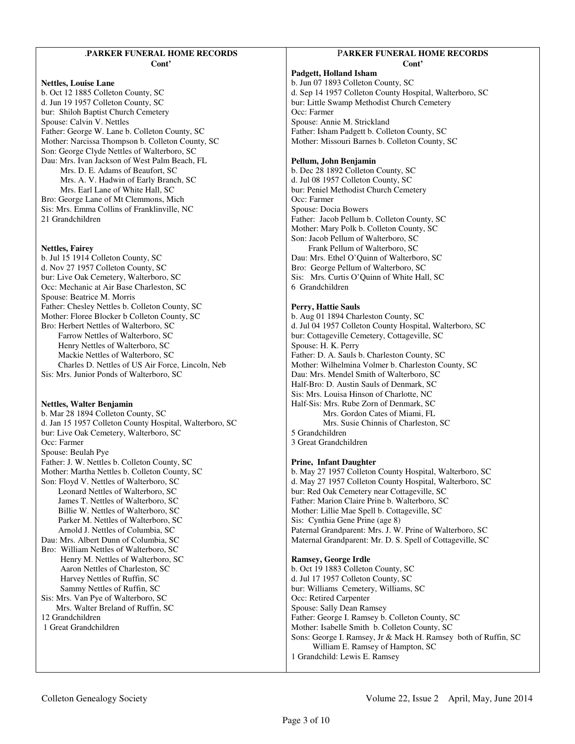#### .**PARKER FUNERAL HOME RECORDS Cont'**

#### **Nettles, Louise Lane**

b. Oct 12 1885 Colleton County, SC d. Jun 19 1957 Colleton County, SC bur: Shiloh Baptist Church Cemetery Spouse: Calvin V. Nettles Father: George W. Lane b. Colleton County, SC Mother: Narcissa Thompson b. Colleton County, SC Son: George Clyde Nettles of Walterboro, SC Dau: Mrs. Ivan Jackson of West Palm Beach, FL Mrs. D. E. Adams of Beaufort, SC Mrs. A. V. Hadwin of Early Branch, SC Mrs. Earl Lane of White Hall, SC Bro: George Lane of Mt Clemmons, Mich Sis: Mrs. Emma Collins of Franklinville, NC 21 Grandchildren

#### **Nettles, Fairey**

b. Jul 15 1914 Colleton County, SC d. Nov 27 1957 Colleton County, SC bur: Live Oak Cemetery, Walterboro, SC Occ: Mechanic at Air Base Charleston, SC Spouse: Beatrice M. Morris Father: Chesley Nettles b. Colleton County, SC Mother: Floree Blocker b Colleton County, SC Bro: Herbert Nettles of Walterboro, SC Farrow Nettles of Walterboro, SC Henry Nettles of Walterboro, SC Mackie Nettles of Walterboro, SC Charles D. Nettles of US Air Force, Lincoln, Neb Sis: Mrs. Junior Ponds of Walterboro, SC

## **Nettles, Walter Benjamin**

b. Mar 28 1894 Colleton County, SC d. Jan 15 1957 Colleton County Hospital, Walterboro, SC bur: Live Oak Cemetery, Walterboro, SC Occ: Farmer Spouse: Beulah Pye Father: J. W. Nettles b. Colleton County, SC Mother: Martha Nettles b. Colleton County, SC Son: Floyd V. Nettles of Walterboro, SC Leonard Nettles of Walterboro, SC James T. Nettles of Walterboro, SC Billie W. Nettles of Walterboro, SC Parker M. Nettles of Walterboro, SC Arnold J. Nettles of Columbia, SC Dau: Mrs. Albert Dunn of Columbia, SC Bro: William Nettles of Walterboro, SC Henry M. Nettles of Walterboro, SC Aaron Nettles of Charleston, SC Harvey Nettles of Ruffin, SC Sammy Nettles of Ruffin, SC Sis: Mrs. Van Pye of Walterboro, SC Mrs. Walter Breland of Ruffin, SC 12 Grandchildren 1 Great Grandchildren

## P**ARKER FUNERAL HOME RECORDS Cont'**

**Padgett, Holland Isham**  b. Jun 07 1893 Colleton County, SC d. Sep 14 1957 Colleton County Hospital, Walterboro, SC bur: Little Swamp Methodist Church Cemetery Occ: Farmer Spouse: Annie M. Strickland Father: Isham Padgett b. Colleton County, SC Mother: Missouri Barnes b. Colleton County, SC

#### **Pellum, John Benjamin**

b. Dec 28 1892 Colleton County, SC d. Jul 08 1957 Colleton County, SC bur: Peniel Methodist Church Cemetery Occ: Farmer Spouse: Docia Bowers Father: Jacob Pellum b. Colleton County, SC Mother: Mary Polk b. Colleton County, SC Son: Jacob Pellum of Walterboro, SC Frank Pellum of Walterboro, SC Dau: Mrs. Ethel O'Quinn of Walterboro, SC Bro: George Pellum of Walterboro, SC Sis: Mrs. Curtis O'Quinn of White Hall, SC 6 Grandchildren

#### **Perry, Hattie Sauls**

b. Aug 01 1894 Charleston County, SC d. Jul 04 1957 Colleton County Hospital, Walterboro, SC bur: Cottageville Cemetery, Cottageville, SC Spouse: H. K. Perry Father: D. A. Sauls b. Charleston County, SC Mother: Wilhelmina Volmer b. Charleston County, SC Dau: Mrs. Mendel Smith of Walterboro, SC Half-Bro: D. Austin Sauls of Denmark, SC Sis: Mrs. Louisa Hinson of Charlotte, NC Half-Sis: Mrs. Rube Zorn of Denmark, SC Mrs. Gordon Cates of Miami, FL Mrs. Susie Chinnis of Charleston, SC 5 Grandchildren 3 Great Grandchildren

#### **Prine, Infant Daughter**

b. May 27 1957 Colleton County Hospital, Walterboro, SC d. May 27 1957 Colleton County Hospital, Walterboro, SC bur: Red Oak Cemetery near Cottageville, SC Father: Marion Claire Prine b. Walterboro, SC Mother: Lillie Mae Spell b. Cottageville, SC Sis: Cynthia Gene Prine (age 8) Paternal Grandparent: Mrs. J. W. Prine of Walterboro, SC Maternal Grandparent: Mr. D. S. Spell of Cottageville, SC

#### **Ramsey, George Irdle**

b. Oct 19 1883 Colleton County, SC d. Jul 17 1957 Colleton County, SC bur: Williams Cemetery, Williams, SC Occ: Retired Carpenter Spouse: Sally Dean Ramsey Father: George I. Ramsey b. Colleton County, SC Mother: Isabelle Smith b. Colleton County, SC Sons: George I. Ramsey, Jr & Mack H. Ramsey both of Ruffin, SC William E. Ramsey of Hampton, SC 1 Grandchild: Lewis E. Ramsey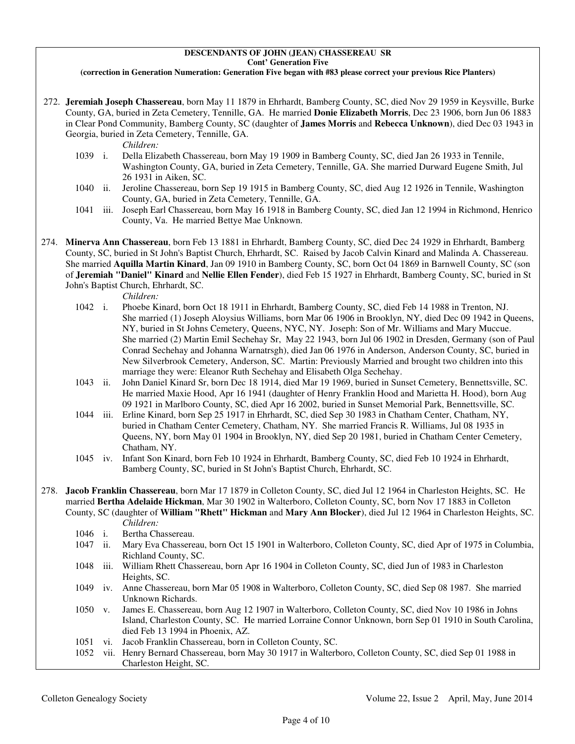## **DESCENDANTS OF JOHN (JEAN) CHASSEREAU SR Cont' Generation Five**

### **(correction in Generation Numeration: Generation Five began with #83 please correct your previous Rice Planters)**

 272. **Jeremiah Joseph Chassereau**, born May 11 1879 in Ehrhardt, Bamberg County, SC, died Nov 29 1959 in Keysville, Burke County, GA, buried in Zeta Cemetery, Tennille, GA. He married **Donie Elizabeth Morris**, Dec 23 1906, born Jun 06 1883 in Clear Pond Community, Bamberg County, SC (daughter of **James Morris** and **Rebecca Unknown**), died Dec 03 1943 in Georgia, buried in Zeta Cemetery, Tennille, GA.

*Children:*

- 1039 i. Della Elizabeth Chassereau, born May 19 1909 in Bamberg County, SC, died Jan 26 1933 in Tennile, Washington County, GA, buried in Zeta Cemetery, Tennille, GA. She married Durward Eugene Smith, Jul 26 1931 in Aiken, SC.
- 1040 ii. Jeroline Chassereau, born Sep 19 1915 in Bamberg County, SC, died Aug 12 1926 in Tennile, Washington County, GA, buried in Zeta Cemetery, Tennille, GA.
- 1041 iii. Joseph Earl Chassereau, born May 16 1918 in Bamberg County, SC, died Jan 12 1994 in Richmond, Henrico County, Va. He married Bettye Mae Unknown.
- 274. **Minerva Ann Chassereau**, born Feb 13 1881 in Ehrhardt, Bamberg County, SC, died Dec 24 1929 in Ehrhardt, Bamberg County, SC, buried in St John's Baptist Church, Ehrhardt, SC. Raised by Jacob Calvin Kinard and Malinda A. Chassereau. She married **Aquilla Martin Kinard**, Jan 09 1910 in Bamberg County, SC, born Oct 04 1869 in Barnwell County, SC (son of **Jeremiah "Daniel" Kinard** and **Nellie Ellen Fender**), died Feb 15 1927 in Ehrhardt, Bamberg County, SC, buried in St John's Baptist Church, Ehrhardt, SC.

*Children:*

- 1042 i. Phoebe Kinard, born Oct 18 1911 in Ehrhardt, Bamberg County, SC, died Feb 14 1988 in Trenton, NJ. She married (1) Joseph Aloysius Williams, born Mar 06 1906 in Brooklyn, NY, died Dec 09 1942 in Queens, NY, buried in St Johns Cemetery, Queens, NYC, NY. Joseph: Son of Mr. Williams and Mary Muccue. She married (2) Martin Emil Sechehay Sr, May 22 1943, born Jul 06 1902 in Dresden, Germany (son of Paul Conrad Sechehay and Johanna Warnatrsgh), died Jan 06 1976 in Anderson, Anderson County, SC, buried in New Silverbrook Cemetery, Anderson, SC. Martin: Previously Married and brought two children into this marriage they were: Eleanor Ruth Sechehay and Elisabeth Olga Sechehay.
- 1043 ii. John Daniel Kinard Sr, born Dec 18 1914, died Mar 19 1969, buried in Sunset Cemetery, Bennettsville, SC. He married Maxie Hood, Apr 16 1941 (daughter of Henry Franklin Hood and Marietta H. Hood), born Aug 09 1921 in Marlboro County, SC, died Apr 16 2002, buried in Sunset Memorial Park, Bennettsville, SC.
- 1044 iii. Erline Kinard, born Sep 25 1917 in Ehrhardt, SC, died Sep 30 1983 in Chatham Center, Chatham, NY, buried in Chatham Center Cemetery, Chatham, NY. She married Francis R. Williams, Jul 08 1935 in Queens, NY, born May 01 1904 in Brooklyn, NY, died Sep 20 1981, buried in Chatham Center Cemetery, Chatham, NY.
- 1045 iv. Infant Son Kinard, born Feb 10 1924 in Ehrhardt, Bamberg County, SC, died Feb 10 1924 in Ehrhardt, Bamberg County, SC, buried in St John's Baptist Church, Ehrhardt, SC.
- 278. **Jacob Franklin Chassereau**, born Mar 17 1879 in Colleton County, SC, died Jul 12 1964 in Charleston Heights, SC. He married **Bertha Adelaide Hickman**, Mar 30 1902 in Walterboro, Colleton County, SC, born Nov 17 1883 in Colleton County, SC (daughter of **William "Rhett" Hickman** and **Mary Ann Blocker**), died Jul 12 1964 in Charleston Heights, SC.
	- *Children:*
	- 1046 i. Bertha Chassereau.<br>1047 ii. Marv Eva Chassere
	- Mary Eva Chassereau, born Oct 15 1901 in Walterboro, Colleton County, SC, died Apr of 1975 in Columbia, Richland County, SC.
	- 1048 iii. William Rhett Chassereau, born Apr 16 1904 in Colleton County, SC, died Jun of 1983 in Charleston Heights, SC.
	- 1049 iv. Anne Chassereau, born Mar 05 1908 in Walterboro, Colleton County, SC, died Sep 08 1987. She married Unknown Richards.
	- 1050 v. James E. Chassereau, born Aug 12 1907 in Walterboro, Colleton County, SC, died Nov 10 1986 in Johns Island, Charleston County, SC. He married Lorraine Connor Unknown, born Sep 01 1910 in South Carolina, died Feb 13 1994 in Phoenix, AZ.
	- 1051 vi. Jacob Franklin Chassereau, born in Colleton County, SC.
	- 1052 vii. Henry Bernard Chassereau, born May 30 1917 in Walterboro, Colleton County, SC, died Sep 01 1988 in Charleston Height, SC.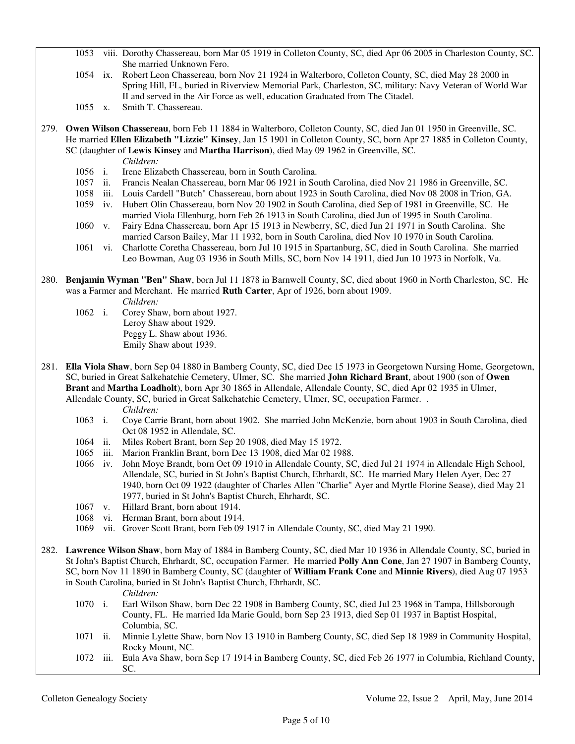- 1053 viii. Dorothy Chassereau, born Mar 05 1919 in Colleton County, SC, died Apr 06 2005 in Charleston County, SC. She married Unknown Fero.
- 1054 ix. Robert Leon Chassereau, born Nov 21 1924 in Walterboro, Colleton County, SC, died May 28 2000 in Spring Hill, FL, buried in Riverview Memorial Park, Charleston, SC, military: Navy Veteran of World War II and served in the Air Force as well, education Graduated from The Citadel.
- 1055 x. Smith T. Chassereau.
- 279. **Owen Wilson Chassereau**, born Feb 11 1884 in Walterboro, Colleton County, SC, died Jan 01 1950 in Greenville, SC. He married **Ellen Elizabeth "Lizzie" Kinsey**, Jan 15 1901 in Colleton County, SC, born Apr 27 1885 in Colleton County, SC (daughter of **Lewis Kinsey** and **Martha Harrison**), died May 09 1962 in Greenville, SC.
	- *Children:*
	- 1056 i. Irene Elizabeth Chassereau, born in South Carolina.
	- 1057 ii. Francis Nealan Chassereau, born Mar 06 1921 in South Carolina, died Nov 21 1986 in Greenville, SC.
	- 1058 iii. Louis Cardell "Butch" Chassereau, born about 1923 in South Carolina, died Nov 08 2008 in Trion, GA.
	- 1059 iv. Hubert Olin Chassereau, born Nov 20 1902 in South Carolina, died Sep of 1981 in Greenville, SC. He married Viola Ellenburg, born Feb 26 1913 in South Carolina, died Jun of 1995 in South Carolina.
	- 1060 v. Fairy Edna Chassereau, born Apr 15 1913 in Newberry, SC, died Jun 21 1971 in South Carolina. She married Carson Bailey, Mar 11 1932, born in South Carolina, died Nov 10 1970 in South Carolina.
	- 1061 vi. Charlotte Coretha Chassereau, born Jul 10 1915 in Spartanburg, SC, died in South Carolina. She married Leo Bowman, Aug 03 1936 in South Mills, SC, born Nov 14 1911, died Jun 10 1973 in Norfolk, Va.
- 280. **Benjamin Wyman "Ben" Shaw**, born Jul 11 1878 in Barnwell County, SC, died about 1960 in North Charleston, SC. He was a Farmer and Merchant. He married **Ruth Carter**, Apr of 1926, born about 1909.
	- *Children:*
	- 1062 i. Corey Shaw, born about 1927. Leroy Shaw about 1929. Peggy L. Shaw about 1936. Emily Shaw about 1939.
- 281. **Ella Viola Shaw**, born Sep 04 1880 in Bamberg County, SC, died Dec 15 1973 in Georgetown Nursing Home, Georgetown, SC, buried in Great Salkehatchie Cemetery, Ulmer, SC. She married **John Richard Brant**, about 1900 (son of **Owen Brant** and **Martha Loadholt**), born Apr 30 1865 in Allendale, Allendale County, SC, died Apr 02 1935 in Ulmer, Allendale County, SC, buried in Great Salkehatchie Cemetery, Ulmer, SC, occupation Farmer. .

*Children:*

- 1063 i. Coye Carrie Brant, born about 1902. She married John McKenzie, born about 1903 in South Carolina, died Oct 08 1952 in Allendale, SC.
- 1064 ii. Miles Robert Brant, born Sep 20 1908, died May 15 1972.
- 1065 iii. Marion Franklin Brant, born Dec 13 1908, died Mar 02 1988.
- 1066 iv. John Moye Brandt, born Oct 09 1910 in Allendale County, SC, died Jul 21 1974 in Allendale High School, Allendale, SC, buried in St John's Baptist Church, Ehrhardt, SC. He married Mary Helen Ayer, Dec 27 1940, born Oct 09 1922 (daughter of Charles Allen "Charlie" Ayer and Myrtle Florine Sease), died May 21 1977, buried in St John's Baptist Church, Ehrhardt, SC.
- 1067 v. Hillard Brant, born about 1914.
- 1068 vi. Herman Brant, born about 1914.
- 1069 vii. Grover Scott Brant, born Feb 09 1917 in Allendale County, SC, died May 21 1990.
- 282. **Lawrence Wilson Shaw**, born May of 1884 in Bamberg County, SC, died Mar 10 1936 in Allendale County, SC, buried in St John's Baptist Church, Ehrhardt, SC, occupation Farmer. He married **Polly Ann Cone**, Jan 27 1907 in Bamberg County, SC, born Nov 11 1890 in Bamberg County, SC (daughter of **William Frank Cone** and **Minnie Rivers**), died Aug 07 1953 in South Carolina, buried in St John's Baptist Church, Ehrhardt, SC.

*Children:*

- 1070 i. Earl Wilson Shaw, born Dec 22 1908 in Bamberg County, SC, died Jul 23 1968 in Tampa, Hillsborough County, FL. He married Ida Marie Gould, born Sep 23 1913, died Sep 01 1937 in Baptist Hospital, Columbia, SC.
- 1071 ii. Minnie Lylette Shaw, born Nov 13 1910 in Bamberg County, SC, died Sep 18 1989 in Community Hospital, Rocky Mount, NC.
- 1072 iii. Eula Ava Shaw, born Sep 17 1914 in Bamberg County, SC, died Feb 26 1977 in Columbia, Richland County, SC.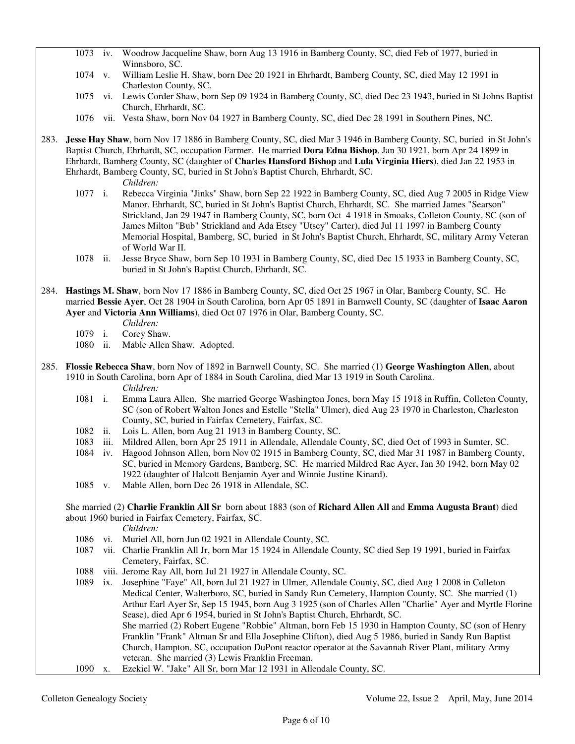- 1073 iv. Woodrow Jacqueline Shaw, born Aug 13 1916 in Bamberg County, SC, died Feb of 1977, buried in Winnsboro, SC.
- 1074 v. William Leslie H. Shaw, born Dec 20 1921 in Ehrhardt, Bamberg County, SC, died May 12 1991 in Charleston County, SC.
- 1075 vi. Lewis Corder Shaw, born Sep 09 1924 in Bamberg County, SC, died Dec 23 1943, buried in St Johns Baptist Church, Ehrhardt, SC.
- 1076 vii. Vesta Shaw, born Nov 04 1927 in Bamberg County, SC, died Dec 28 1991 in Southern Pines, NC.
- 283. **Jesse Hay Shaw**, born Nov 17 1886 in Bamberg County, SC, died Mar 3 1946 in Bamberg County, SC, buried in St John's Baptist Church, Ehrhardt, SC, occupation Farmer. He married **Dora Edna Bishop**, Jan 30 1921, born Apr 24 1899 in Ehrhardt, Bamberg County, SC (daughter of **Charles Hansford Bishop** and **Lula Virginia Hiers**), died Jan 22 1953 in Ehrhardt, Bamberg County, SC, buried in St John's Baptist Church, Ehrhardt, SC.
	- *Children:*
	- 1077 i. Rebecca Virginia "Jinks" Shaw, born Sep 22 1922 in Bamberg County, SC, died Aug 7 2005 in Ridge View Manor, Ehrhardt, SC, buried in St John's Baptist Church, Ehrhardt, SC. She married James "Searson" Strickland, Jan 29 1947 in Bamberg County, SC, born Oct 4 1918 in Smoaks, Colleton County, SC (son of James Milton "Bub" Strickland and Ada Etsey "Utsey" Carter), died Jul 11 1997 in Bamberg County Memorial Hospital, Bamberg, SC, buried in St John's Baptist Church, Ehrhardt, SC, military Army Veteran of World War II.
	- 1078 ii. Jesse Bryce Shaw, born Sep 10 1931 in Bamberg County, SC, died Dec 15 1933 in Bamberg County, SC, buried in St John's Baptist Church, Ehrhardt, SC.
- 284. **Hastings M. Shaw**, born Nov 17 1886 in Bamberg County, SC, died Oct 25 1967 in Olar, Bamberg County, SC. He married **Bessie Ayer**, Oct 28 1904 in South Carolina, born Apr 05 1891 in Barnwell County, SC (daughter of **Isaac Aaron Ayer** and **Victoria Ann Williams**), died Oct 07 1976 in Olar, Bamberg County, SC.
	- *Children:*
	- 1079 i. Corey Shaw.
	- 1080 ii. Mable Allen Shaw. Adopted.
- 285. **Flossie Rebecca Shaw**, born Nov of 1892 in Barnwell County, SC. She married (1) **George Washington Allen**, about 1910 in South Carolina, born Apr of 1884 in South Carolina, died Mar 13 1919 in South Carolina. *Children:*
	- 1081 i. Emma Laura Allen. She married George Washington Jones, born May 15 1918 in Ruffin, Colleton County, SC (son of Robert Walton Jones and Estelle "Stella" Ulmer), died Aug 23 1970 in Charleston, Charleston County, SC, buried in Fairfax Cemetery, Fairfax, SC.
	- 1082 ii. Lois L. Allen, born Aug 21 1913 in Bamberg County, SC.
	- 1083 iii. Mildred Allen, born Apr 25 1911 in Allendale, Allendale County, SC, died Oct of 1993 in Sumter, SC.
	- 1084 iv. Hagood Johnson Allen, born Nov 02 1915 in Bamberg County, SC, died Mar 31 1987 in Bamberg County, SC, buried in Memory Gardens, Bamberg, SC. He married Mildred Rae Ayer, Jan 30 1942, born May 02 1922 (daughter of Halcott Benjamin Ayer and Winnie Justine Kinard).
	- 1085 v. Mable Allen, born Dec 26 1918 in Allendale, SC.

## She married (2) **Charlie Franklin All Sr** born about 1883 (son of **Richard Allen All** and **Emma Augusta Brant**) died about 1960 buried in Fairfax Cemetery, Fairfax, SC.

- *Children:*
- 1086 vi. Muriel All, born Jun 02 1921 in Allendale County, SC.
- 1087 vii. Charlie Franklin All Jr, born Mar 15 1924 in Allendale County, SC died Sep 19 1991, buried in Fairfax Cemetery, Fairfax, SC.
- 1088 viii. Jerome Ray All, born Jul 21 1927 in Allendale County, SC.
- 1089 ix. Josephine "Faye" All, born Jul 21 1927 in Ulmer, Allendale County, SC, died Aug 1 2008 in Colleton Medical Center, Walterboro, SC, buried in Sandy Run Cemetery, Hampton County, SC. She married (1) Arthur Earl Ayer Sr, Sep 15 1945, born Aug 3 1925 (son of Charles Allen "Charlie" Ayer and Myrtle Florine Sease), died Apr 6 1954, buried in St John's Baptist Church, Ehrhardt, SC. She married (2) Robert Eugene "Robbie" Altman, born Feb 15 1930 in Hampton County, SC (son of Henry Franklin "Frank" Altman Sr and Ella Josephine Clifton), died Aug 5 1986, buried in Sandy Run Baptist Church, Hampton, SC, occupation DuPont reactor operator at the Savannah River Plant, military Army veteran. She married (3) Lewis Franklin Freeman. 1090 x. Ezekiel W. "Jake" All Sr, born Mar 12 1931 in Allendale County, SC.
-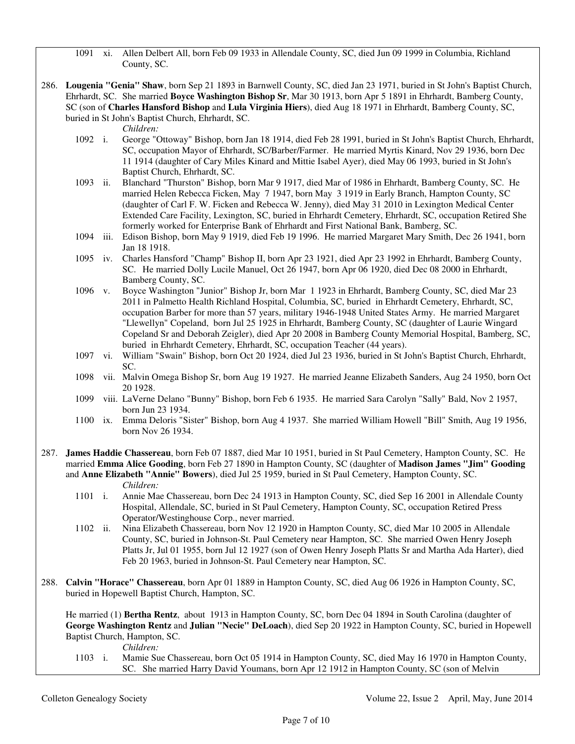1091 xi. Allen Delbert All, born Feb 09 1933 in Allendale County, SC, died Jun 09 1999 in Columbia, Richland County, SC.

286. **Lougenia "Genia" Shaw**, born Sep 21 1893 in Barnwell County, SC, died Jan 23 1971, buried in St John's Baptist Church, Ehrhardt, SC. She married **Boyce Washington Bishop Sr**, Mar 30 1913, born Apr 5 1891 in Ehrhardt, Bamberg County, SC (son of **Charles Hansford Bishop** and **Lula Virginia Hiers**), died Aug 18 1971 in Ehrhardt, Bamberg County, SC, buried in St John's Baptist Church, Ehrhardt, SC.

*Children:*

- 1092 i. George "Ottoway" Bishop, born Jan 18 1914, died Feb 28 1991, buried in St John's Baptist Church, Ehrhardt, SC, occupation Mayor of Ehrhardt, SC/Barber/Farmer. He married Myrtis Kinard, Nov 29 1936, born Dec 11 1914 (daughter of Cary Miles Kinard and Mittie Isabel Ayer), died May 06 1993, buried in St John's Baptist Church, Ehrhardt, SC.
- 1093 ii. Blanchard "Thurston" Bishop, born Mar 9 1917, died Mar of 1986 in Ehrhardt, Bamberg County, SC. He married Helen Rebecca Ficken, May 7 1947, born May 3 1919 in Early Branch, Hampton County, SC (daughter of Carl F. W. Ficken and Rebecca W. Jenny), died May 31 2010 in Lexington Medical Center Extended Care Facility, Lexington, SC, buried in Ehrhardt Cemetery, Ehrhardt, SC, occupation Retired She formerly worked for Enterprise Bank of Ehrhardt and First National Bank, Bamberg, SC.
- 1094 iii. Edison Bishop, born May 9 1919, died Feb 19 1996. He married Margaret Mary Smith, Dec 26 1941, born Jan 18 1918.
- 1095 iv. Charles Hansford "Champ" Bishop II, born Apr 23 1921, died Apr 23 1992 in Ehrhardt, Bamberg County, SC. He married Dolly Lucile Manuel, Oct 26 1947, born Apr 06 1920, died Dec 08 2000 in Ehrhardt, Bamberg County, SC.
- 1096 v. Boyce Washington "Junior" Bishop Jr, born Mar 1 1923 in Ehrhardt, Bamberg County, SC, died Mar 23 2011 in Palmetto Health Richland Hospital, Columbia, SC, buried in Ehrhardt Cemetery, Ehrhardt, SC, occupation Barber for more than 57 years, military 1946-1948 United States Army. He married Margaret "Llewellyn" Copeland, born Jul 25 1925 in Ehrhardt, Bamberg County, SC (daughter of Laurie Wingard Copeland Sr and Deborah Zeigler), died Apr 20 2008 in Bamberg County Memorial Hospital, Bamberg, SC, buried in Ehrhardt Cemetery, Ehrhardt, SC, occupation Teacher (44 years).
- 1097 vi. William "Swain" Bishop, born Oct 20 1924, died Jul 23 1936, buried in St John's Baptist Church, Ehrhardt, SC.
- 1098 vii. Malvin Omega Bishop Sr, born Aug 19 1927. He married Jeanne Elizabeth Sanders, Aug 24 1950, born Oct 20 1928.
- 1099 viii. LaVerne Delano "Bunny" Bishop, born Feb 6 1935. He married Sara Carolyn "Sally" Bald, Nov 2 1957, born Jun 23 1934.
- 1100 ix. Emma Deloris "Sister" Bishop, born Aug 4 1937. She married William Howell "Bill" Smith, Aug 19 1956, born Nov 26 1934.
- 287. **James Haddie Chassereau**, born Feb 07 1887, died Mar 10 1951, buried in St Paul Cemetery, Hampton County, SC. He married **Emma Alice Gooding**, born Feb 27 1890 in Hampton County, SC (daughter of **Madison James "Jim" Gooding** and **Anne Elizabeth "Annie" Bowers**), died Jul 25 1959, buried in St Paul Cemetery, Hampton County, SC. *Children:*
	- 1101 i. Annie Mae Chassereau, born Dec 24 1913 in Hampton County, SC, died Sep 16 2001 in Allendale County Hospital, Allendale, SC, buried in St Paul Cemetery, Hampton County, SC, occupation Retired Press Operator/Westinghouse Corp., never married.
	- 1102 ii. Nina Elizabeth Chassereau, born Nov 12 1920 in Hampton County, SC, died Mar 10 2005 in Allendale County, SC, buried in Johnson-St. Paul Cemetery near Hampton, SC. She married Owen Henry Joseph Platts Jr, Jul 01 1955, born Jul 12 1927 (son of Owen Henry Joseph Platts Sr and Martha Ada Harter), died Feb 20 1963, buried in Johnson-St. Paul Cemetery near Hampton, SC.
- 288. **Calvin "Horace" Chassereau**, born Apr 01 1889 in Hampton County, SC, died Aug 06 1926 in Hampton County, SC, buried in Hopewell Baptist Church, Hampton, SC.

 He married (1) **Bertha Rentz**, about 1913 in Hampton County, SC, born Dec 04 1894 in South Carolina (daughter of **George Washington Rentz** and **Julian "Necie" DeLoach**), died Sep 20 1922 in Hampton County, SC, buried in Hopewell Baptist Church, Hampton, SC.

*Children:*

 1103 i. Mamie Sue Chassereau, born Oct 05 1914 in Hampton County, SC, died May 16 1970 in Hampton County, SC. She married Harry David Youmans, born Apr 12 1912 in Hampton County, SC (son of Melvin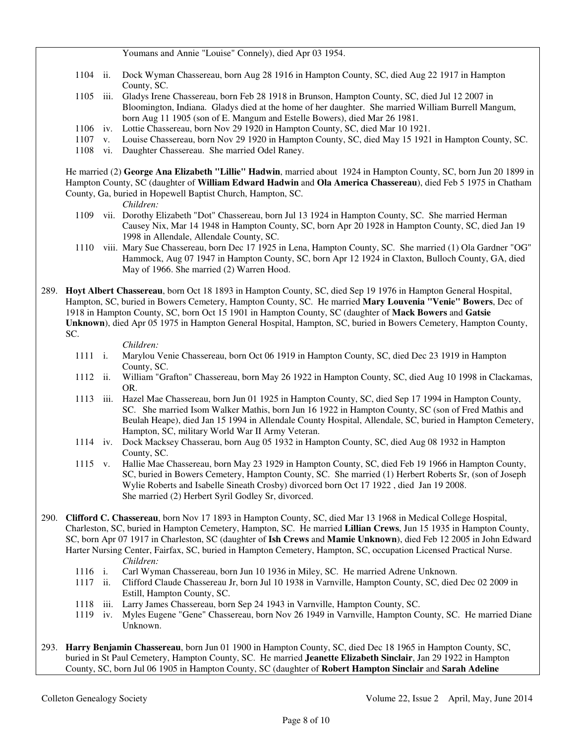Youmans and Annie "Louise" Connely), died Apr 03 1954.

- 1104 ii. Dock Wyman Chassereau, born Aug 28 1916 in Hampton County, SC, died Aug 22 1917 in Hampton County, SC.
- 1105 iii. Gladys Irene Chassereau, born Feb 28 1918 in Brunson, Hampton County, SC, died Jul 12 2007 in Bloomington, Indiana. Gladys died at the home of her daughter. She married William Burrell Mangum, born Aug 11 1905 (son of E. Mangum and Estelle Bowers), died Mar 26 1981.
- 1106 iv. Lottie Chassereau, born Nov 29 1920 in Hampton County, SC, died Mar 10 1921.
- 1107 v. Louise Chassereau, born Nov 29 1920 in Hampton County, SC, died May 15 1921 in Hampton County, SC.
- 1108 vi. Daughter Chassereau. She married Odel Raney.

 He married (2) **George Ana Elizabeth "Lillie" Hadwin**, married about 1924 in Hampton County, SC, born Jun 20 1899 in Hampton County, SC (daughter of **William Edward Hadwin** and **Ola America Chassereau**), died Feb 5 1975 in Chatham County, Ga, buried in Hopewell Baptist Church, Hampton, SC.

*Children:*

- 1109 vii. Dorothy Elizabeth "Dot" Chassereau, born Jul 13 1924 in Hampton County, SC. She married Herman Causey Nix, Mar 14 1948 in Hampton County, SC, born Apr 20 1928 in Hampton County, SC, died Jan 19 1998 in Allendale, Allendale County, SC.
- 1110 viii. Mary Sue Chassereau, born Dec 17 1925 in Lena, Hampton County, SC. She married (1) Ola Gardner "OG" Hammock, Aug 07 1947 in Hampton County, SC, born Apr 12 1924 in Claxton, Bulloch County, GA, died May of 1966. She married (2) Warren Hood.
- 289. **Hoyt Albert Chassereau**, born Oct 18 1893 in Hampton County, SC, died Sep 19 1976 in Hampton General Hospital, Hampton, SC, buried in Bowers Cemetery, Hampton County, SC. He married **Mary Louvenia "Venie" Bowers**, Dec of 1918 in Hampton County, SC, born Oct 15 1901 in Hampton County, SC (daughter of **Mack Bowers** and **Gatsie Unknown**), died Apr 05 1975 in Hampton General Hospital, Hampton, SC, buried in Bowers Cemetery, Hampton County, SC.

*Children:*

- 1111 i. Marylou Venie Chassereau, born Oct 06 1919 in Hampton County, SC, died Dec 23 1919 in Hampton County, SC.
- 1112 ii. William "Grafton" Chassereau, born May 26 1922 in Hampton County, SC, died Aug 10 1998 in Clackamas, OR.
- 1113 iii. Hazel Mae Chassereau, born Jun 01 1925 in Hampton County, SC, died Sep 17 1994 in Hampton County, SC. She married Isom Walker Mathis, born Jun 16 1922 in Hampton County, SC (son of Fred Mathis and Beulah Heape), died Jan 15 1994 in Allendale County Hospital, Allendale, SC, buried in Hampton Cemetery, Hampton, SC, military World War II Army Veteran.
- 1114 iv. Dock Macksey Chasserau, born Aug 05 1932 in Hampton County, SC, died Aug 08 1932 in Hampton County, SC.
- 1115 v. Hallie Mae Chassereau, born May 23 1929 in Hampton County, SC, died Feb 19 1966 in Hampton County, SC, buried in Bowers Cemetery, Hampton County, SC. She married (1) Herbert Roberts Sr, (son of Joseph Wylie Roberts and Isabelle Sineath Crosby) divorced born Oct 17 1922 , died Jan 19 2008. She married (2) Herbert Syril Godley Sr, divorced.
- 290. **Clifford C. Chassereau**, born Nov 17 1893 in Hampton County, SC, died Mar 13 1968 in Medical College Hospital, Charleston, SC, buried in Hampton Cemetery, Hampton, SC. He married **Lillian Crews**, Jun 15 1935 in Hampton County, SC, born Apr 07 1917 in Charleston, SC (daughter of **Ish Crews** and **Mamie Unknown**), died Feb 12 2005 in John Edward Harter Nursing Center, Fairfax, SC, buried in Hampton Cemetery, Hampton, SC, occupation Licensed Practical Nurse. *Children:*
	- 1116 i. Carl Wyman Chassereau, born Jun 10 1936 in Miley, SC. He married Adrene Unknown.
	- 1117 ii. Clifford Claude Chassereau Jr, born Jul 10 1938 in Varnville, Hampton County, SC, died Dec 02 2009 in Estill, Hampton County, SC.
	- 1118 iii. Larry James Chassereau, born Sep 24 1943 in Varnville, Hampton County, SC.
	- 1119 iv. Myles Eugene "Gene" Chassereau, born Nov 26 1949 in Varnville, Hampton County, SC. He married Diane Unknown.
- 293. **Harry Benjamin Chassereau**, born Jun 01 1900 in Hampton County, SC, died Dec 18 1965 in Hampton County, SC, buried in St Paul Cemetery, Hampton County, SC. He married **Jeanette Elizabeth Sinclair**, Jan 29 1922 in Hampton County, SC, born Jul 06 1905 in Hampton County, SC (daughter of **Robert Hampton Sinclair** and **Sarah Adeline**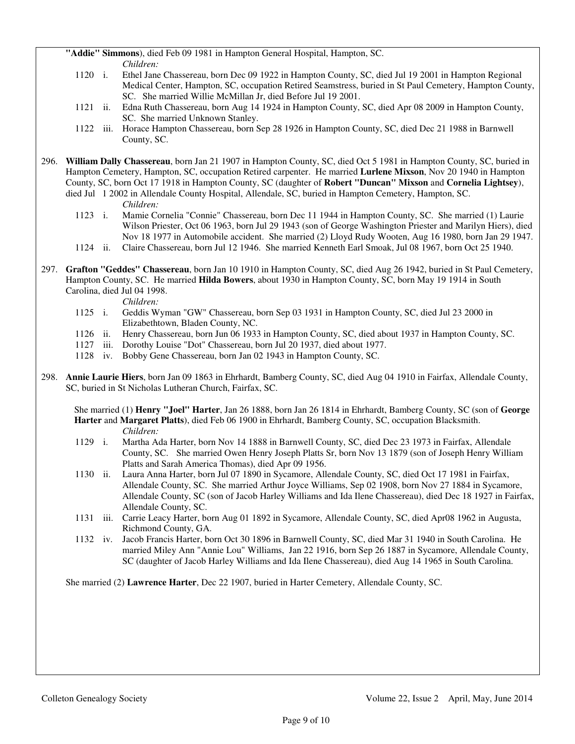**"Addie" Simmons**), died Feb 09 1981 in Hampton General Hospital, Hampton, SC. *Children:*

- 1120 i. Ethel Jane Chassereau, born Dec 09 1922 in Hampton County, SC, died Jul 19 2001 in Hampton Regional Medical Center, Hampton, SC, occupation Retired Seamstress, buried in St Paul Cemetery, Hampton County, SC. She married Willie McMillan Jr, died Before Jul 19 2001.
- 1121 ii. Edna Ruth Chassereau, born Aug 14 1924 in Hampton County, SC, died Apr 08 2009 in Hampton County, SC. She married Unknown Stanley.
- 1122 iii. Horace Hampton Chassereau, born Sep 28 1926 in Hampton County, SC, died Dec 21 1988 in Barnwell County, SC.
- 296. **William Dally Chassereau**, born Jan 21 1907 in Hampton County, SC, died Oct 5 1981 in Hampton County, SC, buried in Hampton Cemetery, Hampton, SC, occupation Retired carpenter. He married **Lurlene Mixson**, Nov 20 1940 in Hampton County, SC, born Oct 17 1918 in Hampton County, SC (daughter of **Robert "Duncan" Mixson** and **Cornelia Lightsey**), died Jul 1 2002 in Allendale County Hospital, Allendale, SC, buried in Hampton Cemetery, Hampton, SC.

*Children:*

- 1123 i. Mamie Cornelia "Connie" Chassereau, born Dec 11 1944 in Hampton County, SC. She married (1) Laurie Wilson Priester, Oct 06 1963, born Jul 29 1943 (son of George Washington Priester and Marilyn Hiers), died Nov 18 1977 in Automobile accident. She married (2) Lloyd Rudy Wooten, Aug 16 1980, born Jan 29 1947.
- 1124 ii. Claire Chassereau, born Jul 12 1946. She married Kenneth Earl Smoak, Jul 08 1967, born Oct 25 1940.
- 297. **Grafton "Geddes" Chassereau**, born Jan 10 1910 in Hampton County, SC, died Aug 26 1942, buried in St Paul Cemetery, Hampton County, SC. He married **Hilda Bowers**, about 1930 in Hampton County, SC, born May 19 1914 in South Carolina, died Jul 04 1998.

*Children:*

- 1125 i. Geddis Wyman "GW" Chassereau, born Sep 03 1931 in Hampton County, SC, died Jul 23 2000 in Elizabethtown, Bladen County, NC.
- 1126 ii. Henry Chassereau, born Jun 06 1933 in Hampton County, SC, died about 1937 in Hampton County, SC.
- 1127 iii. Dorothy Louise "Dot" Chassereau, born Jul 20 1937, died about 1977.
- 1128 iv. Bobby Gene Chassereau, born Jan 02 1943 in Hampton County, SC.
- 298. **Annie Laurie Hiers**, born Jan 09 1863 in Ehrhardt, Bamberg County, SC, died Aug 04 1910 in Fairfax, Allendale County, SC, buried in St Nicholas Lutheran Church, Fairfax, SC.

 She married (1) **Henry "Joel" Harter**, Jan 26 1888, born Jan 26 1814 in Ehrhardt, Bamberg County, SC (son of **George Harter** and **Margaret Platts**), died Feb 06 1900 in Ehrhardt, Bamberg County, SC, occupation Blacksmith. *Children:*

- 1129 i. Martha Ada Harter, born Nov 14 1888 in Barnwell County, SC, died Dec 23 1973 in Fairfax, Allendale County, SC. She married Owen Henry Joseph Platts Sr, born Nov 13 1879 (son of Joseph Henry William Platts and Sarah America Thomas), died Apr 09 1956.
- 1130 ii. Laura Anna Harter, born Jul 07 1890 in Sycamore, Allendale County, SC, died Oct 17 1981 in Fairfax, Allendale County, SC. She married Arthur Joyce Williams, Sep 02 1908, born Nov 27 1884 in Sycamore, Allendale County, SC (son of Jacob Harley Williams and Ida Ilene Chassereau), died Dec 18 1927 in Fairfax, Allendale County, SC.
- 1131 iii. Carrie Leacy Harter, born Aug 01 1892 in Sycamore, Allendale County, SC, died Apr08 1962 in Augusta, Richmond County, GA.
- 1132 iv. Jacob Francis Harter, born Oct 30 1896 in Barnwell County, SC, died Mar 31 1940 in South Carolina. He married Miley Ann "Annie Lou" Williams, Jan 22 1916, born Sep 26 1887 in Sycamore, Allendale County, SC (daughter of Jacob Harley Williams and Ida Ilene Chassereau), died Aug 14 1965 in South Carolina.

She married (2) **Lawrence Harter**, Dec 22 1907, buried in Harter Cemetery, Allendale County, SC.